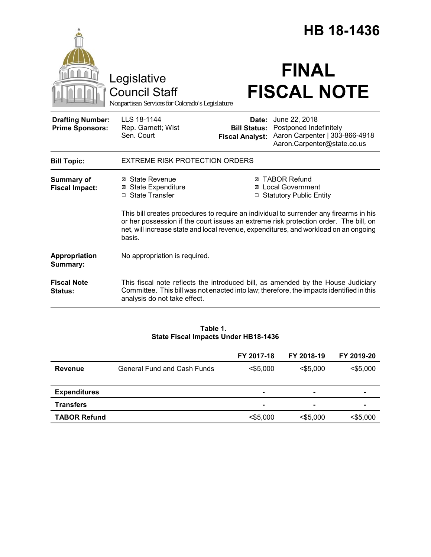|                                                                                        |                                                                                                                                                                                                                                                                                  |                                               | HB 18-1436                                                                                                                                                                   |  |  |
|----------------------------------------------------------------------------------------|----------------------------------------------------------------------------------------------------------------------------------------------------------------------------------------------------------------------------------------------------------------------------------|-----------------------------------------------|------------------------------------------------------------------------------------------------------------------------------------------------------------------------------|--|--|
| Legislative<br><b>Council Staff</b><br>Nonpartisan Services for Colorado's Legislature |                                                                                                                                                                                                                                                                                  | <b>FINAL</b><br><b>FISCAL NOTE</b>            |                                                                                                                                                                              |  |  |
| <b>Drafting Number:</b><br><b>Prime Sponsors:</b>                                      | LLS 18-1144<br>Rep. Garnett; Wist<br>Sen. Court                                                                                                                                                                                                                                  | <b>Bill Status:</b><br><b>Fiscal Analyst:</b> | <b>Date:</b> June 22, 2018<br>Postponed Indefinitely<br>Aaron Carpenter   303-866-4918<br>Aaron.Carpenter@state.co.us                                                        |  |  |
| <b>Bill Topic:</b>                                                                     | EXTREME RISK PROTECTION ORDERS                                                                                                                                                                                                                                                   |                                               |                                                                                                                                                                              |  |  |
| <b>Summary of</b><br><b>Fiscal Impact:</b>                                             | ⊠ State Revenue<br><b>⊠</b> State Expenditure<br>□ State Transfer                                                                                                                                                                                                                | ⊠                                             | <b>⊠ TABOR Refund</b><br><b>Local Government</b><br>□ Statutory Public Entity                                                                                                |  |  |
|                                                                                        | This bill creates procedures to require an individual to surrender any firearms in his<br>or her possession if the court issues an extreme risk protection order. The bill, on<br>net, will increase state and local revenue, expenditures, and workload on an ongoing<br>basis. |                                               |                                                                                                                                                                              |  |  |
| Appropriation<br>Summary:                                                              | No appropriation is required.                                                                                                                                                                                                                                                    |                                               |                                                                                                                                                                              |  |  |
| <b>Fiscal Note</b><br>Status:                                                          | analysis do not take effect.                                                                                                                                                                                                                                                     |                                               | This fiscal note reflects the introduced bill, as amended by the House Judiciary<br>Committee. This bill was not enacted into law; therefore, the impacts identified in this |  |  |

### **Table 1. State Fiscal Impacts Under HB18-1436**

|                     |                                    | FY 2017-18     | FY 2018-19     | FY 2019-20     |
|---------------------|------------------------------------|----------------|----------------|----------------|
| <b>Revenue</b>      | <b>General Fund and Cash Funds</b> | $<$ \$5,000    | $<$ \$5,000    | $<$ \$5,000    |
|                     |                                    |                |                |                |
| <b>Expenditures</b> |                                    |                | $\sim$         | $\blacksquare$ |
| <b>Transfers</b>    |                                    | $\blacksquare$ | $\blacksquare$ | $\blacksquare$ |
| <b>TABOR Refund</b> |                                    | $<$ \$5,000    | $<$ \$5,000    | $<$ \$5,000    |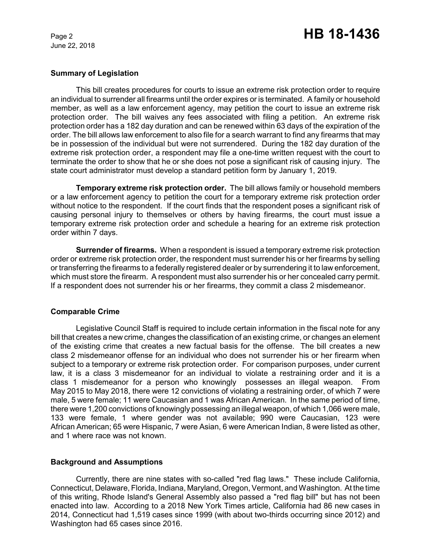### **Summary of Legislation**

This bill creates procedures for courts to issue an extreme risk protection order to require an individual to surrender all firearms until the order expires or is terminated. A family or household member, as well as a law enforcement agency, may petition the court to issue an extreme risk protection order. The bill waives any fees associated with filing a petition. An extreme risk protection order has a 182 day duration and can be renewed within 63 days of the expiration of the order. The bill allows law enforcement to also file for a search warrant to find any firearms that may be in possession of the individual but were not surrendered. During the 182 day duration of the extreme risk protection order, a respondent may file a one-time written request with the court to terminate the order to show that he or she does not pose a significant risk of causing injury. The state court administrator must develop a standard petition form by January 1, 2019.

**Temporary extreme risk protection order.** The bill allows family or household members or a law enforcement agency to petition the court for a temporary extreme risk protection order without notice to the respondent. If the court finds that the respondent poses a significant risk of causing personal injury to themselves or others by having firearms, the court must issue a temporary extreme risk protection order and schedule a hearing for an extreme risk protection order within 7 days.

**Surrender of firearms.** When a respondent is issued a temporary extreme risk protection order or extreme risk protection order, the respondent must surrender his or her firearms by selling or transferring the firearms to a federally registered dealer or by surrendering it to law enforcement, which must store the firearm. A respondent must also surrender his or her concealed carry permit. If a respondent does not surrender his or her firearms, they commit a class 2 misdemeanor.

# **Comparable Crime**

Legislative Council Staff is required to include certain information in the fiscal note for any bill that creates a new crime, changes the classification of an existing crime, or changes an element of the existing crime that creates a new factual basis for the offense. The bill creates a new class 2 misdemeanor offense for an individual who does not surrender his or her firearm when subject to a temporary or extreme risk protection order. For comparison purposes, under current law, it is a class 3 misdemeanor for an individual to violate a restraining order and it is a class 1 misdemeanor for a person who knowingly possesses an illegal weapon. From May 2015 to May 2018, there were 12 convictions of violating a restraining order, of which 7 were male, 5 were female; 11 were Caucasian and 1 was African American. In the same period of time, there were 1,200 convictions of knowingly possessing an illegal weapon, of which 1,066 were male, 133 were female, 1 where gender was not available; 990 were Caucasian, 123 were African American; 65 were Hispanic, 7 were Asian, 6 were American Indian, 8 were listed as other, and 1 where race was not known.

### **Background and Assumptions**

Currently, there are nine states with so-called "red flag laws." These include California, Connecticut, Delaware, Florida, Indiana, Maryland, Oregon, Vermont, and Washington. At the time of this writing, Rhode Island's General Assembly also passed a "red flag bill" but has not been enacted into law. According to a 2018 New York Times article, California had 86 new cases in 2014, Connecticut had 1,519 cases since 1999 (with about two-thirds occurring since 2012) and Washington had 65 cases since 2016.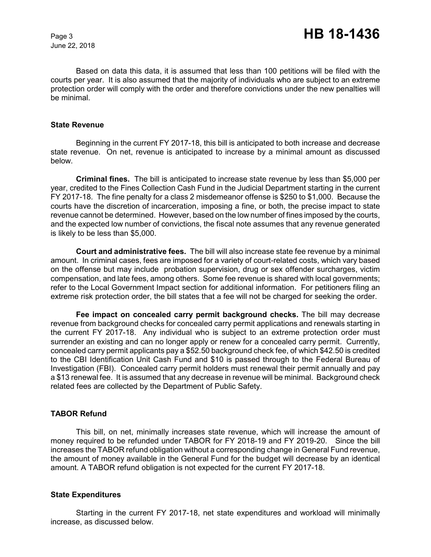Based on data this data, it is assumed that less than 100 petitions will be filed with the courts per year. It is also assumed that the majority of individuals who are subject to an extreme protection order will comply with the order and therefore convictions under the new penalties will be minimal.

#### **State Revenue**

Beginning in the current FY 2017-18, this bill is anticipated to both increase and decrease state revenue. On net, revenue is anticipated to increase by a minimal amount as discussed below.

**Criminal fines.** The bill is anticipated to increase state revenue by less than \$5,000 per year, credited to the Fines Collection Cash Fund in the Judicial Department starting in the current FY 2017-18. The fine penalty for a class 2 misdemeanor offense is \$250 to \$1,000. Because the courts have the discretion of incarceration, imposing a fine, or both, the precise impact to state revenue cannot be determined. However, based on the low number of fines imposed by the courts, and the expected low number of convictions, the fiscal note assumes that any revenue generated is likely to be less than \$5,000.

**Court and administrative fees.** The bill will also increase state fee revenue by a minimal amount. In criminal cases, fees are imposed for a variety of court-related costs, which vary based on the offense but may include probation supervision, drug or sex offender surcharges, victim compensation, and late fees, among others. Some fee revenue is shared with local governments; refer to the Local Government Impact section for additional information. For petitioners filing an extreme risk protection order, the bill states that a fee will not be charged for seeking the order.

**Fee impact on concealed carry permit background checks.** The bill may decrease revenue from background checks for concealed carry permit applications and renewals starting in the current FY 2017-18. Any individual who is subject to an extreme protection order must surrender an existing and can no longer apply or renew for a concealed carry permit. Currently, concealed carry permit applicants pay a \$52.50 background check fee, of which \$42.50 is credited to the CBI Identification Unit Cash Fund and \$10 is passed through to the Federal Bureau of Investigation (FBI). Concealed carry permit holders must renewal their permit annually and pay a \$13 renewal fee. It is assumed that any decrease in revenue will be minimal. Background check related fees are collected by the Department of Public Safety.

# **TABOR Refund**

This bill, on net, minimally increases state revenue, which will increase the amount of money required to be refunded under TABOR for FY 2018-19 and FY 2019-20. Since the bill increases the TABOR refund obligation without a corresponding change in General Fund revenue, the amount of money available in the General Fund for the budget will decrease by an identical amount. A TABOR refund obligation is not expected for the current FY 2017-18.

### **State Expenditures**

Starting in the current FY 2017-18, net state expenditures and workload will minimally increase, as discussed below.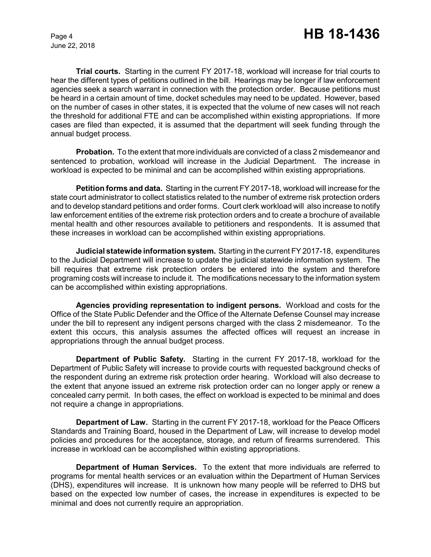**Trial courts.** Starting in the current FY 2017-18, workload will increase for trial courts to hear the different types of petitions outlined in the bill. Hearings may be longer if law enforcement agencies seek a search warrant in connection with the protection order. Because petitions must be heard in a certain amount of time, docket schedules may need to be updated. However, based on the number of cases in other states, it is expected that the volume of new cases will not reach the threshold for additional FTE and can be accomplished within existing appropriations. If more cases are filed than expected, it is assumed that the department will seek funding through the annual budget process.

**Probation.** To the extent that more individuals are convicted of a class 2 misdemeanor and sentenced to probation, workload will increase in the Judicial Department. The increase in workload is expected to be minimal and can be accomplished within existing appropriations.

**Petition forms and data.** Starting in the current FY 2017-18, workload will increase for the state court administrator to collect statistics related to the number of extreme risk protection orders and to develop standard petitions and order forms. Court clerk workload will also increase to notify law enforcement entities of the extreme risk protection orders and to create a brochure of available mental health and other resources available to petitioners and respondents. It is assumed that these increases in workload can be accomplished within existing appropriations.

**Judicial statewide information system.** Starting in the current FY 2017-18, expenditures to the Judicial Department will increase to update the judicial statewide information system. The bill requires that extreme risk protection orders be entered into the system and therefore programing costs will increase to include it. The modifications necessary to the information system can be accomplished within existing appropriations.

**Agencies providing representation to indigent persons.** Workload and costs for the Office of the State Public Defender and the Office of the Alternate Defense Counsel may increase under the bill to represent any indigent persons charged with the class 2 misdemeanor. To the extent this occurs, this analysis assumes the affected offices will request an increase in appropriations through the annual budget process.

**Department of Public Safety.** Starting in the current FY 2017-18, workload for the Department of Public Safety will increase to provide courts with requested background checks of the respondent during an extreme risk protection order hearing. Workload will also decrease to the extent that anyone issued an extreme risk protection order can no longer apply or renew a concealed carry permit. In both cases, the effect on workload is expected to be minimal and does not require a change in appropriations.

**Department of Law.** Starting in the current FY 2017-18, workload for the Peace Officers Standards and Training Board, housed in the Department of Law, will increase to develop model policies and procedures for the acceptance, storage, and return of firearms surrendered. This increase in workload can be accomplished within existing appropriations.

**Department of Human Services.** To the extent that more individuals are referred to programs for mental health services or an evaluation within the Department of Human Services (DHS), expenditures will increase. It is unknown how many people will be referred to DHS but based on the expected low number of cases, the increase in expenditures is expected to be minimal and does not currently require an appropriation.